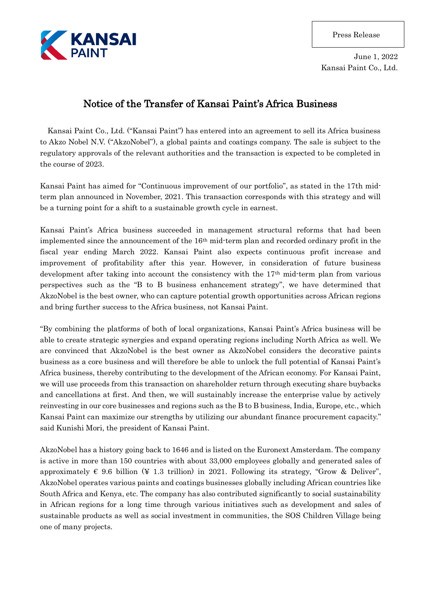

June 1, 2022 Kansai Paint Co., Ltd.

## Notice of the Transfer of Kansai Paint's Africa Business

Kansai Paint Co., Ltd. ("Kansai Paint") has entered into an agreement to sell its Africa business to Akzo Nobel N.V. ("AkzoNobel"), a global paints and coatings company. The sale is subject to the regulatory approvals of the relevant authorities and the transaction is expected to be completed in the course of 2023.

Kansai Paint has aimed for "Continuous improvement of our portfolio", as stated in the 17th midterm plan announced in November, 2021. This transaction corresponds with this strategy and will be a turning point for a shift to a sustainable growth cycle in earnest.

Kansai Paint's Africa business succeeded in management structural reforms that had been implemented since the announcement of the 16th mid-term plan and recorded ordinary profit in the fiscal year ending March 2022. Kansai Paint also expects continuous profit increase and improvement of profitability after this year. However, in consideration of future business development after taking into account the consistency with the 17th mid-term plan from various perspectives such as the "B to B business enhancement strategy", we have determined that AkzoNobel is the best owner, who can capture potential growth opportunities across African regions and bring further success to the Africa business, not Kansai Paint.

"By combining the platforms of both of local organizations, Kansai Paint's Africa business will be able to create strategic synergies and expand operating regions including North Africa as well. We are convinced that AkzoNobel is the best owner as AkzoNobel considers the decorative paints business as a core business and will therefore be able to unlock the full potential of Kansai Paint's Africa business, thereby contributing to the development of the African economy. For Kansai Paint, we will use proceeds from this transaction on shareholder return through executing share buybacks and cancellations at first. And then, we will sustainably increase the enterprise value by actively reinvesting in our core businesses and regions such as the B to B business, India, Europe, etc., which Kansai Paint can maximize our strengths by utilizing our abundant finance procurement capacity." said Kunishi Mori, the president of Kansai Paint.

AkzoNobel has a history going back to 1646 and is listed on the Euronext Amsterdam. The company is active in more than 150 countries with about 33,000 employees globally and generated sales of approximately  $\epsilon$  9.6 billion (¥ 1.3 trillion) in 2021. Following its strategy, "Grow & Deliver", AkzoNobel operates various paints and coatings businesses globally including African countries like South Africa and Kenya, etc. The company has also contributed significantly to social sustainability in African regions for a long time through various initiatives such as development and sales of sustainable products as well as social investment in communities, the SOS Children Village being one of many projects.